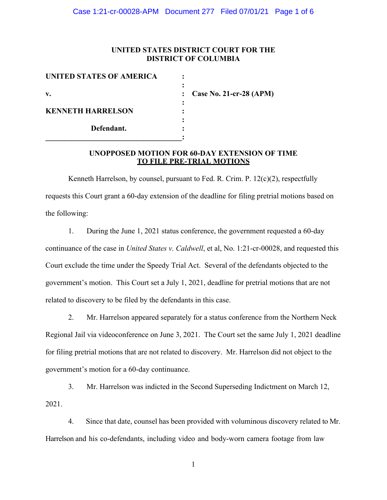# **UNITED STATES DISTRICT COURT FOR THE DISTRICT OF COLUMBIA**

| UNITED STATES OF AMERICA |                           |
|--------------------------|---------------------------|
|                          |                           |
| $V_{\bullet}$            | : Case No. 21-cr-28 (APM) |
|                          |                           |
| <b>KENNETH HARRELSON</b> |                           |
|                          |                           |
| Defendant.               |                           |
|                          |                           |

# **UNOPPOSED MOTION FOR 60-DAY EXTENSION OF TIME TO FILE PRE-TRIAL MOTIONS**

Kenneth Harrelson, by counsel, pursuant to Fed. R. Crim. P. 12(c)(2), respectfully requests this Court grant a 60-day extension of the deadline for filing pretrial motions based on the following:

1. During the June 1, 2021 status conference, the government requested a 60-day continuance of the case in *United States v. Caldwell*, et al, No. 1:21-cr-00028, and requested this Court exclude the time under the Speedy Trial Act. Several of the defendants objected to the government's motion. This Court set a July 1, 2021, deadline for pretrial motions that are not related to discovery to be filed by the defendants in this case.

2. Mr. Harrelson appeared separately for a status conference from the Northern Neck Regional Jail via videoconference on June 3, 2021. The Court set the same July 1, 2021 deadline for filing pretrial motions that are not related to discovery. Mr. Harrelson did not object to the government's motion for a 60-day continuance.

3. Mr. Harrelson was indicted in the Second Superseding Indictment on March 12, 2021.

4. Since that date, counsel has been provided with voluminous discovery related to Mr. Harrelson and his co-defendants, including video and body-worn camera footage from law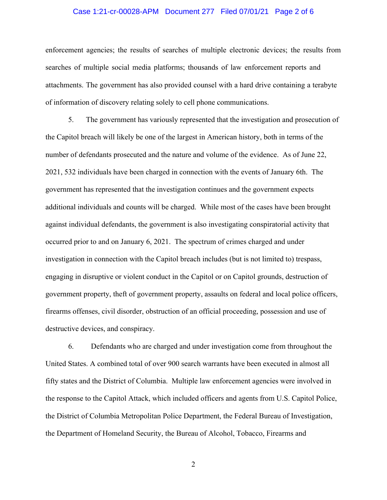## Case 1:21-cr-00028-APM Document 277 Filed 07/01/21 Page 2 of 6

enforcement agencies; the results of searches of multiple electronic devices; the results from searches of multiple social media platforms; thousands of law enforcement reports and attachments. The government has also provided counsel with a hard drive containing a terabyte of information of discovery relating solely to cell phone communications.

5. The government has variously represented that the investigation and prosecution of the Capitol breach will likely be one of the largest in American history, both in terms of the number of defendants prosecuted and the nature and volume of the evidence. As of June 22, 2021, 532 individuals have been charged in connection with the events of January 6th. The government has represented that the investigation continues and the government expects additional individuals and counts will be charged. While most of the cases have been brought against individual defendants, the government is also investigating conspiratorial activity that occurred prior to and on January 6, 2021. The spectrum of crimes charged and under investigation in connection with the Capitol breach includes (but is not limited to) trespass, engaging in disruptive or violent conduct in the Capitol or on Capitol grounds, destruction of government property, theft of government property, assaults on federal and local police officers, firearms offenses, civil disorder, obstruction of an official proceeding, possession and use of destructive devices, and conspiracy.

6. Defendants who are charged and under investigation come from throughout the United States. A combined total of over 900 search warrants have been executed in almost all fifty states and the District of Columbia. Multiple law enforcement agencies were involved in the response to the Capitol Attack, which included officers and agents from U.S. Capitol Police, the District of Columbia Metropolitan Police Department, the Federal Bureau of Investigation, the Department of Homeland Security, the Bureau of Alcohol, Tobacco, Firearms and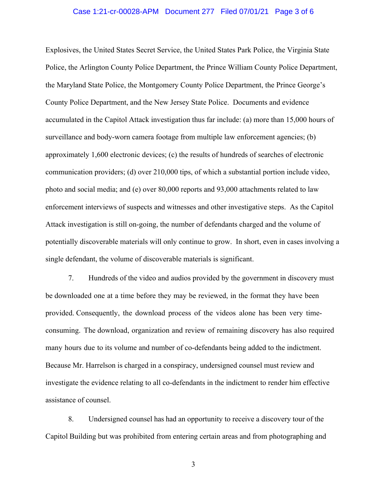## Case 1:21-cr-00028-APM Document 277 Filed 07/01/21 Page 3 of 6

Explosives, the United States Secret Service, the United States Park Police, the Virginia State Police, the Arlington County Police Department, the Prince William County Police Department, the Maryland State Police, the Montgomery County Police Department, the Prince George's County Police Department, and the New Jersey State Police. Documents and evidence accumulated in the Capitol Attack investigation thus far include: (a) more than 15,000 hours of surveillance and body-worn camera footage from multiple law enforcement agencies; (b) approximately 1,600 electronic devices; (c) the results of hundreds of searches of electronic communication providers; (d) over 210,000 tips, of which a substantial portion include video, photo and social media; and (e) over 80,000 reports and 93,000 attachments related to law enforcement interviews of suspects and witnesses and other investigative steps. As the Capitol Attack investigation is still on-going, the number of defendants charged and the volume of potentially discoverable materials will only continue to grow. In short, even in cases involving a single defendant, the volume of discoverable materials is significant.

7. Hundreds of the video and audios provided by the government in discovery must be downloaded one at a time before they may be reviewed, in the format they have been provided. Consequently, the download process of the videos alone has been very timeconsuming. The download, organization and review of remaining discovery has also required many hours due to its volume and number of co-defendants being added to the indictment. Because Mr. Harrelson is charged in a conspiracy, undersigned counsel must review and investigate the evidence relating to all co-defendants in the indictment to render him effective assistance of counsel.

8. Undersigned counsel has had an opportunity to receive a discovery tour of the Capitol Building but was prohibited from entering certain areas and from photographing and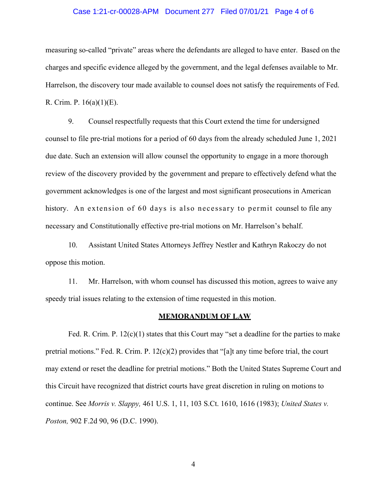## Case 1:21-cr-00028-APM Document 277 Filed 07/01/21 Page 4 of 6

measuring so-called "private" areas where the defendants are alleged to have enter. Based on the charges and specific evidence alleged by the government, and the legal defenses available to Mr. Harrelson, the discovery tour made available to counsel does not satisfy the requirements of Fed. R. Crim. P. 16(a)(1)(E).

9. Counsel respectfully requests that this Court extend the time for undersigned counsel to file pre-trial motions for a period of 60 days from the already scheduled June 1, 2021 due date. Such an extension will allow counsel the opportunity to engage in a more thorough review of the discovery provided by the government and prepare to effectively defend what the government acknowledges is one of the largest and most significant prosecutions in American history. An extension of 60 days is also necessary to permit counsel to file any necessary and Constitutionally effective pre-trial motions on Mr. Harrelson's behalf.

10. Assistant United States Attorneys Jeffrey Nestler and Kathryn Rakoczy do not oppose this motion.

11. Mr. Harrelson, with whom counsel has discussed this motion, agrees to waive any speedy trial issues relating to the extension of time requested in this motion.

#### **MEMORANDUM OF LAW**

Fed. R. Crim. P. 12(c)(1) states that this Court may "set a deadline for the parties to make pretrial motions." Fed. R. Crim. P.  $12(c)(2)$  provides that "[a]t any time before trial, the court may extend or reset the deadline for pretrial motions." Both the United States Supreme Court and this Circuit have recognized that district courts have great discretion in ruling on motions to continue. See *Morris v. Slappy,* 461 U.S. 1, 11, 103 S.Ct. 1610, 1616 (1983); *United States v. Poston,* 902 F.2d 90, 96 (D.C. 1990).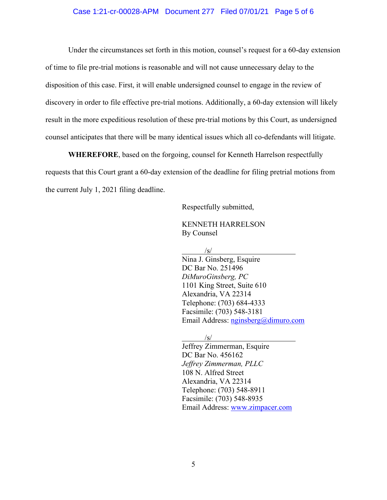# Case 1:21-cr-00028-APM Document 277 Filed 07/01/21 Page 5 of 6

Under the circumstances set forth in this motion, counsel's request for a 60-day extension of time to file pre-trial motions is reasonable and will not cause unnecessary delay to the disposition of this case. First, it will enable undersigned counsel to engage in the review of discovery in order to file effective pre-trial motions. Additionally, a 60-day extension will likely result in the more expeditious resolution of these pre-trial motions by this Court, as undersigned counsel anticipates that there will be many identical issues which all co-defendants will litigate.

**WHEREFORE**, based on the forgoing, counsel for Kenneth Harrelson respectfully requests that this Court grant a 60-day extension of the deadline for filing pretrial motions from the current July 1, 2021 filing deadline.

Respectfully submitted,

 KENNETH HARRELSON By Counsel

 $\sqrt{s/2}$ 

 Nina J. Ginsberg, Esquire DC Bar No. 251496 *DiMuroGinsberg, PC* 1101 King Street, Suite 610 Alexandria, VA 22314 Telephone: (703) 684-4333 Facsimile: (703) 548-3181 Email Address: nginsberg@dimuro.com

 $\sqrt{s/2}$ 

 Jeffrey Zimmerman, Esquire DC Bar No. 456162 *Jeffrey Zimmerman, PLLC* 108 N. Alfred Street Alexandria, VA 22314 Telephone: (703) 548-8911 Facsimile: (703) 548-8935 Email Address: www.zimpacer.com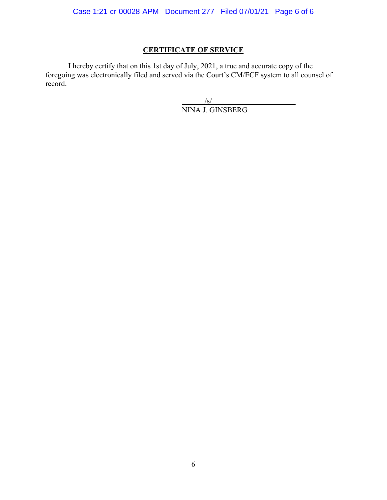# **CERTIFICATE OF SERVICE**

I hereby certify that on this 1st day of July, 2021, a true and accurate copy of the foregoing was electronically filed and served via the Court's CM/ECF system to all counsel of record.

 $\sqrt{s}$ / NINA J. GINSBERG